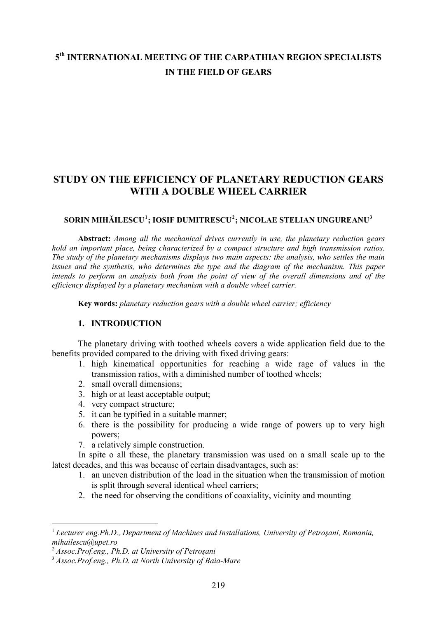# **5th INTERNATIONAL MEETING OF THE CARPATHIAN REGION SPECIALISTS IN THE FIELD OF GEARS**

## **STUDY ON THE EFFICIENCY OF PLANETARY REDUCTION GEARS WITH A DOUBLE WHEEL CARRIER**

### **SORIN MIHĂILESCU[1](#page-0-0) ; IOSIF DUMITRESCU[2](#page-0-1) ; NICOLAE STELIAN UNGUREANU[3](#page-0-2)**

 **Abstract:** *Among all the mechanical drives currently in use, the planetary reduction gears hold an important place, being characterized by a compact structure and high transmission ratios. The study of the planetary mechanisms displays two main aspects: the analysis, who settles the main issues and the synthesis, who determines the type and the diagram of the mechanism. This paper intends to perform an analysis both from the point of view of the overall dimensions and of the efficiency displayed by a planetary mechanism with a double wheel carrier.* 

**Key words:** *planetary reduction gears with a double wheel carrier; efficiency* 

### **1. INTRODUCTION**

 The planetary driving with toothed wheels covers a wide application field due to the benefits provided compared to the driving with fixed driving gears:

- 1. high kinematical opportunities for reaching a wide rage of values in the transmission ratios, with a diminished number of toothed wheels;
- 2. small overall dimensions;
- 3. high or at least acceptable output;
- 4. very compact structure;
- 5. it can be typified in a suitable manner;
- 6. there is the possibility for producing a wide range of powers up to very high powers;
- 7. a relatively simple construction.

In spite o all these, the planetary transmission was used on a small scale up to the latest decades, and this was because of certain disadvantages, such as:

- 1. an uneven distribution of the load in the situation when the transmission of motion is split through several identical wheel carriers;
- 2. the need for observing the conditions of coaxiality, vicinity and mounting

1

<span id="page-0-0"></span><sup>1</sup> *Lecturer eng.Ph.D., Department of Machines and Installations, University of Petroşani, Romania, mihailescu@upet.ro*

<span id="page-0-1"></span><sup>2</sup> *Assoc.Prof.eng., Ph.D. at University of Petroşani*

<span id="page-0-2"></span><sup>3</sup> *Assoc.Prof.eng., Ph.D. at North University of Baia-Mare*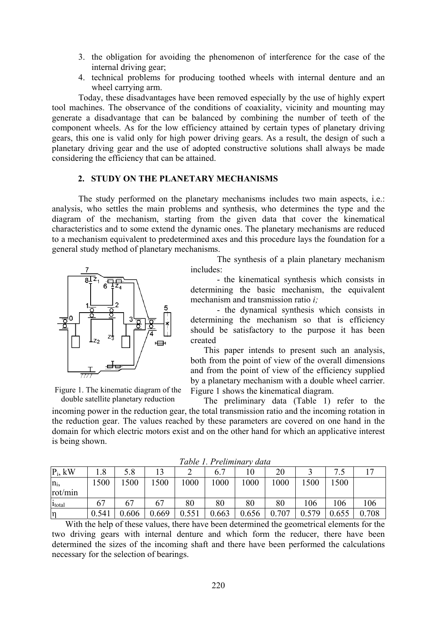- 3. the obligation for avoiding the phenomenon of interference for the case of the internal driving gear;
- 4. technical problems for producing toothed wheels with internal denture and an wheel carrying arm.

Today, these disadvantages have been removed especially by the use of highly expert tool machines. The observance of the conditions of coaxiality, vicinity and mounting may generate a disadvantage that can be balanced by combining the number of teeth of the component wheels. As for the low efficiency attained by certain types of planetary driving gears, this one is valid only for high power driving gears. As a result, the design of such a planetary driving gear and the use of adopted constructive solutions shall always be made considering the efficiency that can be attained.

## **2. STUDY ON THE PLANETARY MECHANISMS**

The study performed on the planetary mechanisms includes two main aspects, i.e.: analysis, who settles the main problems and synthesis, who determines the type and the diagram of the mechanism, starting from the given data that cover the kinematical characteristics and to some extend the dynamic ones. The planetary mechanisms are reduced to a mechanism equivalent to predetermined axes and this procedure lays the foundation for a general study method of planetary mechanisms.



Figure 1. The kinematic diagram of the double satellite planetary reduction

The synthesis of a plain planetary mechanism includes:

- the kinematical synthesis which consists in determining the basic mechanism, the equivalent mechanism and transmission ratio *i;*

- the dynamical synthesis which consists in determining the mechanism so that is efficiency should be satisfactory to the purpose it has been created

This paper intends to present such an analysis, both from the point of view of the overall dimensions and from the point of view of the efficiency supplied by a planetary mechanism with a double wheel carrier. Figure 1 shows the kinematical diagram.

The preliminary data (Table 1) refer to the incoming power in the reduction gear, the total transmission ratio and the incoming rotation in the reduction gear. The values reached by these parameters are covered on one hand in the domain for which electric motors exist and on the other hand for which an applicative interest is being shown.

| $P_i$ , kW         | 1.8   | 5.8        |       |       | 6.7   |       | 20    |       | 7 <sup>5</sup> |       |
|--------------------|-------|------------|-------|-------|-------|-------|-------|-------|----------------|-------|
| $n_i$              | 500   | 500        | 1500  | 000   | 000   | 1000  | 1000  | 1500  | 500            |       |
| rot/min            |       |            |       |       |       |       |       |       |                |       |
| 1 <sub>total</sub> |       | $\epsilon$ | 67    | 80    | 80    | 80    | 80    | 106   | 106            | 106   |
| In                 | 0.541 | 0.606      | 0.669 | 0.551 | 0.663 | 0.656 | 0.707 | 0.579 | 0.655          | 0.708 |

*Table 1. Preliminary data*

With the help of these values, there have been determined the geometrical elements for the two driving gears with internal denture and which form the reducer, there have been determined the sizes of the incoming shaft and there have been performed the calculations necessary for the selection of bearings.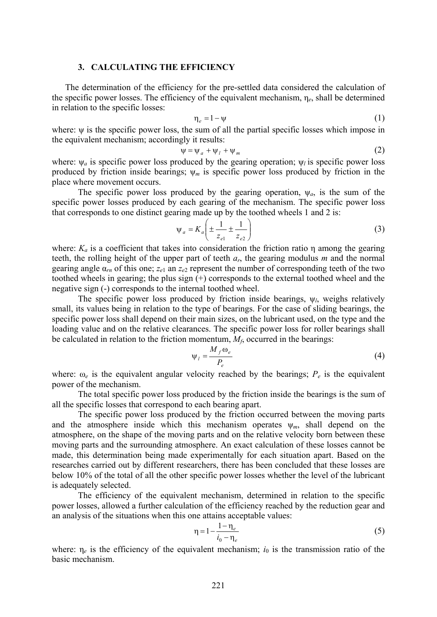#### **3. CALCULATING THE EFFICIENCY**

The determination of the efficiency for the pre-settled data considered the calculation of the specific power losses. The efficiency of the equivalent mechanism, η*e*, shall be determined in relation to the specific losses:

$$
\eta_e = 1 - \psi \tag{1}
$$

where:  $\psi$  is the specific power loss, the sum of all the partial specific losses which impose in the equivalent mechanism; accordingly it results:

$$
\psi = \psi_a + \psi_l + \psi_m \tag{2}
$$

where:  $\psi_a$  is specific power loss produced by the gearing operation;  $\psi_i$  is specific power loss produced by friction inside bearings; ψ*m* is specific power loss produced by friction in the place where movement occurs.

The specific power loss produced by the gearing operation,  $\psi_a$ , is the sum of the specific power losses produced by each gearing of the mechanism. The specific power loss that corresponds to one distinct gearing made up by the toothed wheels 1 and 2 is:

$$
\Psi_a = K_a \left( \pm \frac{1}{z_{el}} \pm \frac{1}{z_{e2}} \right) \tag{3}
$$

where:  $K_a$  is a coefficient that takes into consideration the friction ratio  $\eta$  among the gearing teeth, the rolling height of the upper part of teeth *ar*, the gearing modulus *m* and the normal gearing angle α*rn* of this one; *ze*1 an *ze*2 represent the number of corresponding teeth of the two toothed wheels in gearing; the plus sign (+) corresponds to the external toothed wheel and the negative sign (-) corresponds to the internal toothed wheel.

The specific power loss produced by friction inside bearings, ψ*l*, weighs relatively small, its values being in relation to the type of bearings. For the case of sliding bearings, the specific power loss shall depend on their main sizes, on the lubricant used, on the type and the loading value and on the relative clearances. The specific power loss for roller bearings shall be calculated in relation to the friction momentum,  $M_f$ , occurred in the bearings:

$$
\Psi_l = \frac{M_f \omega_e}{P_e} \tag{4}
$$

where:  $\omega_e$  is the equivalent angular velocity reached by the bearings;  $P_e$  is the equivalent power of the mechanism.

The total specific power loss produced by the friction inside the bearings is the sum of all the specific losses that correspond to each bearing apart.

The specific power loss produced by the friction occurred between the moving parts and the atmosphere inside which this mechanism operates  $\psi_m$ , shall depend on the atmosphere, on the shape of the moving parts and on the relative velocity born between these moving parts and the surrounding atmosphere. An exact calculation of these losses cannot be made, this determination being made experimentally for each situation apart. Based on the researches carried out by different researchers, there has been concluded that these losses are below 10% of the total of all the other specific power losses whether the level of the lubricant is adequately selected.

The efficiency of the equivalent mechanism, determined in relation to the specific power losses, allowed a further calculation of the efficiency reached by the reduction gear and an analysis of the situations when this one attains acceptable values:

$$
\eta = 1 - \frac{1 - \eta_e}{i_0 - \eta_e} \tag{5}
$$

where:  $\eta_e$  is the efficiency of the equivalent mechanism;  $i_0$  is the transmission ratio of the basic mechanism.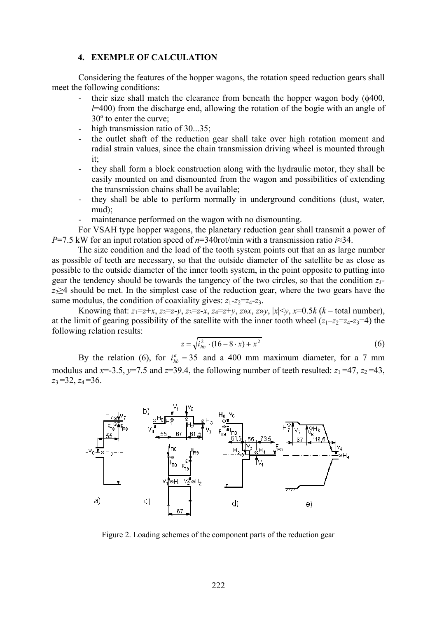#### **4. EXEMPLE OF CALCULATION**

Considering the features of the hopper wagons, the rotation speed reduction gears shall meet the following conditions:

- their size shall match the clearance from beneath the hopper wagon body  $(\phi 400, \phi 400)$ *l*=400) from the discharge end, allowing the rotation of the bogie with an angle of 30º to enter the curve;
- high transmission ratio of 30...35;
- the outlet shaft of the reduction gear shall take over high rotation moment and radial strain values, since the chain transmission driving wheel is mounted through it;
- they shall form a block construction along with the hydraulic motor, they shall be easily mounted on and dismounted from the wagon and possibilities of extending the transmission chains shall be available;
- they shall be able to perform normally in underground conditions (dust, water, mud);
- maintenance performed on the wagon with no dismounting.

For VSAH type hopper wagons, the planetary reduction gear shall transmit a power of *P*=7.5 kW for an input rotation speed of *n*=340rot/min with a transmission ratio *i*≈34.

 The size condition and the load of the tooth system points out that an as large number as possible of teeth are necessary, so that the outside diameter of the satellite be as close as possible to the outside diameter of the inner tooth system, in the point opposite to putting into gear the tendency should be towards the tangency of the two circles, so that the condition *z1 z*<sub>2</sub>≥4 should be met. In the simplest case of the reduction gear, where the two gears have the same modulus, the condition of coaxiality gives:  $z_1$ - $z_2$ = $z_4$ - $z_3$ .

Knowing that:  $z_1 = z + x$ ,  $z_2 = z - y$ ,  $z_3 = z - x$ ,  $z_4 = z + y$ ,  $z \gg x$ ,  $z \gg y$ ,  $|x| \le y$ ,  $x=0.5k$  (k – total number), at the limit of gearing possibility of the satellite with the inner tooth wheel  $(z_1-z_2=z_4-z_3=4)$  the following relation results:

$$
z = \sqrt{i_{hb}^{2} \cdot (16 - 8 \cdot x) + x^{2}}
$$
 (6)

By the relation (6), for  $i_{hb}^a = 35$  and a 400 mm maximum diameter, for a 7 mm modulus and  $x=3.5$ ,  $y=7.5$  and  $z=39.4$ , the following number of teeth resulted:  $z_1=47$ ,  $z_2=43$ , *z*3 =32, *z*4 =36.



Figure 2. Loading schemes of the component parts of the reduction gear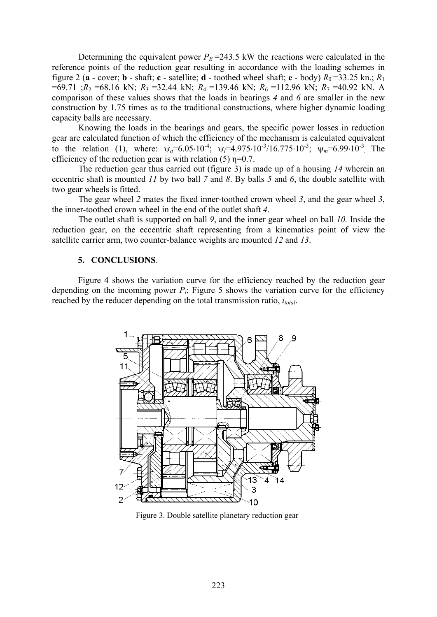Determining the equivalent power  $P_E$ =243.5 kW the reactions were calculated in the reference points of the reduction gear resulting in accordance with the loading schemes in figure 2 (**a** - cover; **b** - shaft; **c** - satellite; **d** - toothed wheel shaft; **e** - body)  $R_0 = 33.25$  kn.;  $R_1$  $=69.71$ ;  $R_2 = 68.16$  kN;  $R_3 = 32.44$  kN;  $R_4 = 139.46$  kN;  $R_6 = 112.96$  kN;  $R_7 = 40.92$  kN. A comparison of these values shows that the loads in bearings *4* and *6* are smaller in the new construction by 1.75 times as to the traditional constructions, where higher dynamic loading capacity balls are necessary.

Knowing the loads in the bearings and gears, the specific power losses in reduction gear are calculated function of which the efficiency of the mechanism is calculated equivalent to the relation (1), where:  $\psi_a = 6.05 \cdot 10^{-4}$ ;  $\psi_l = 4.975 \cdot 10^{-3} / 16.775 \cdot 10^{-3}$ ;  $\psi_m = 6.99 \cdot 10^{-3}$ . The efficiency of the reduction gear is with relation  $(5)$   $n=0.7$ .

The reduction gear thus carried out (figure 3) is made up of a housing *14* wherein an eccentric shaft is mounted *11* by two ball *7* and *8*. By balls *5* and *6*, the double satellite with two gear wheels is fitted.

The gear wheel *2* mates the fixed inner-toothed crown wheel *3*, and the gear wheel *3*, the inner-toothed crown wheel in the end of the outlet shaft *4*.

The outlet shaft is supported on ball *9*, and the inner gear wheel on ball *10.* Inside the reduction gear, on the eccentric shaft representing from a kinematics point of view the satellite carrier arm, two counter-balance weights are mounted *12* and *13*.

#### **5. CONCLUSIONS**.

 Figure 4 shows the variation curve for the efficiency reached by the reduction gear depending on the incoming power  $P_i$ ; Figure 5 shows the variation curve for the efficiency reached by the reducer depending on the total transmission ratio, *i<sub>total</sub>*.



Figure 3. Double satellite planetary reduction gear